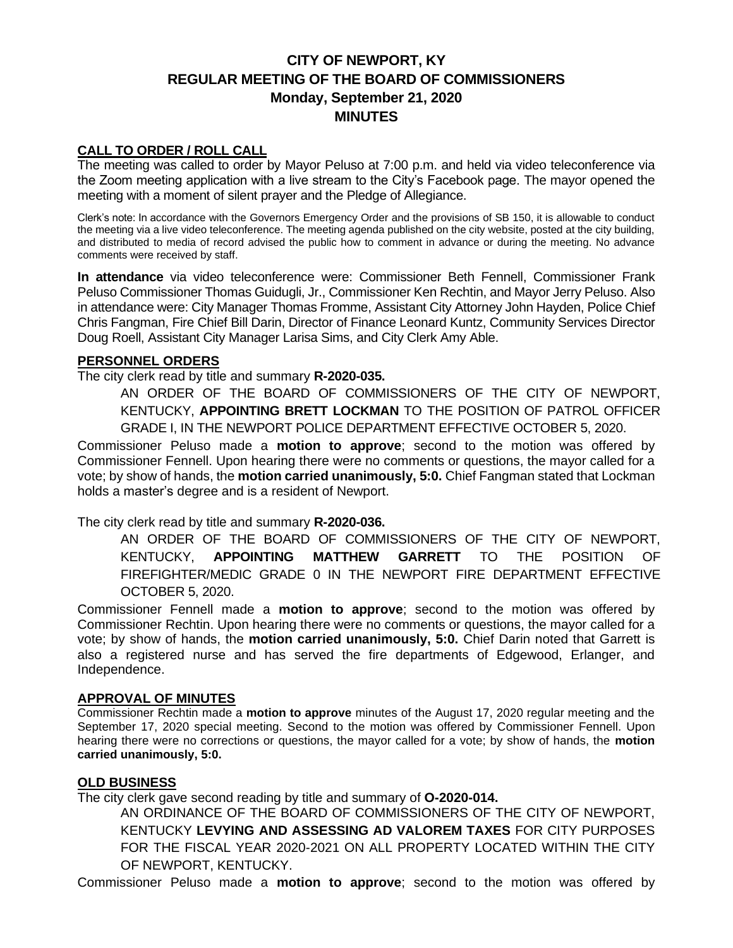# **CITY OF NEWPORT, KY REGULAR MEETING OF THE BOARD OF COMMISSIONERS Monday, September 21, 2020 MINUTES**

## **CALL TO ORDER / ROLL CALL**

The meeting was called to order by Mayor Peluso at 7:00 p.m. and held via video teleconference via the Zoom meeting application with a live stream to the City's Facebook page. The mayor opened the meeting with a moment of silent prayer and the Pledge of Allegiance.

Clerk's note: In accordance with the Governors Emergency Order and the provisions of SB 150, it is allowable to conduct the meeting via a live video teleconference. The meeting agenda published on the city website, posted at the city building, and distributed to media of record advised the public how to comment in advance or during the meeting. No advance comments were received by staff.

**In attendance** via video teleconference were: Commissioner Beth Fennell, Commissioner Frank Peluso Commissioner Thomas Guidugli, Jr., Commissioner Ken Rechtin, and Mayor Jerry Peluso. Also in attendance were: City Manager Thomas Fromme, Assistant City Attorney John Hayden, Police Chief Chris Fangman, Fire Chief Bill Darin, Director of Finance Leonard Kuntz, Community Services Director Doug Roell, Assistant City Manager Larisa Sims, and City Clerk Amy Able.

#### **PERSONNEL ORDERS**

The city clerk read by title and summary **R-2020-035.**

AN ORDER OF THE BOARD OF COMMISSIONERS OF THE CITY OF NEWPORT, KENTUCKY, **APPOINTING BRETT LOCKMAN** TO THE POSITION OF PATROL OFFICER GRADE I, IN THE NEWPORT POLICE DEPARTMENT EFFECTIVE OCTOBER 5, 2020.

Commissioner Peluso made a **motion to approve**; second to the motion was offered by Commissioner Fennell. Upon hearing there were no comments or questions, the mayor called for a vote; by show of hands, the **motion carried unanimously, 5:0.** Chief Fangman stated that Lockman holds a master's degree and is a resident of Newport.

The city clerk read by title and summary **R-2020-036.**

AN ORDER OF THE BOARD OF COMMISSIONERS OF THE CITY OF NEWPORT, KENTUCKY, **APPOINTING MATTHEW GARRETT** TO THE POSITION OF FIREFIGHTER/MEDIC GRADE 0 IN THE NEWPORT FIRE DEPARTMENT EFFECTIVE OCTOBER 5, 2020.

Commissioner Fennell made a **motion to approve**; second to the motion was offered by Commissioner Rechtin. Upon hearing there were no comments or questions, the mayor called for a vote; by show of hands, the **motion carried unanimously, 5:0.** Chief Darin noted that Garrett is also a registered nurse and has served the fire departments of Edgewood, Erlanger, and Independence.

#### **APPROVAL OF MINUTES**

Commissioner Rechtin made a **motion to approve** minutes of the August 17, 2020 regular meeting and the September 17, 2020 special meeting. Second to the motion was offered by Commissioner Fennell. Upon hearing there were no corrections or questions, the mayor called for a vote; by show of hands, the **motion carried unanimously, 5:0.**

#### **OLD BUSINESS**

The city clerk gave second reading by title and summary of **O-2020-014.**

AN ORDINANCE OF THE BOARD OF COMMISSIONERS OF THE CITY OF NEWPORT, KENTUCKY **LEVYING AND ASSESSING AD VALOREM TAXES** FOR CITY PURPOSES FOR THE FISCAL YEAR 2020-2021 ON ALL PROPERTY LOCATED WITHIN THE CITY OF NEWPORT, KENTUCKY.

Commissioner Peluso made a **motion to approve**; second to the motion was offered by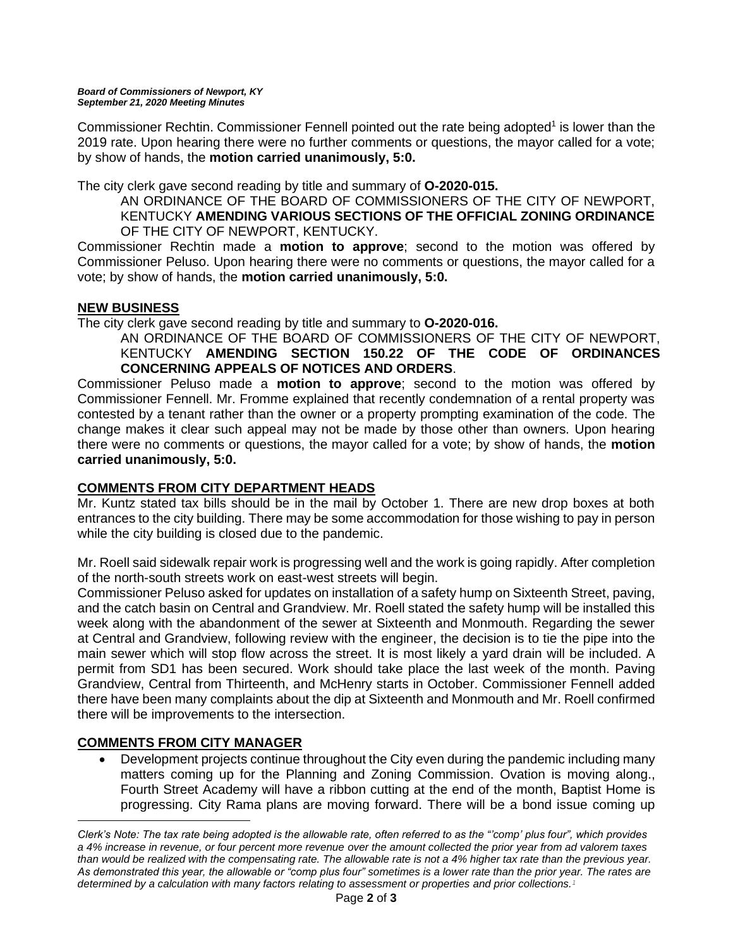Commissioner Rechtin. Commissioner Fennell pointed out the rate being adopted<sup>1</sup> is lower than the 2019 rate. Upon hearing there were no further comments or questions, the mayor called for a vote; by show of hands, the **motion carried unanimously, 5:0.**

The city clerk gave second reading by title and summary of **O-2020-015.**

AN ORDINANCE OF THE BOARD OF COMMISSIONERS OF THE CITY OF NEWPORT, KENTUCKY **AMENDING VARIOUS SECTIONS OF THE OFFICIAL ZONING ORDINANCE**  OF THE CITY OF NEWPORT, KENTUCKY.

Commissioner Rechtin made a **motion to approve**; second to the motion was offered by Commissioner Peluso. Upon hearing there were no comments or questions, the mayor called for a vote; by show of hands, the **motion carried unanimously, 5:0.**

# **NEW BUSINESS**

The city clerk gave second reading by title and summary to **O-2020-016.**

AN ORDINANCE OF THE BOARD OF COMMISSIONERS OF THE CITY OF NEWPORT, KENTUCKY **AMENDING SECTION 150.22 OF THE CODE OF ORDINANCES CONCERNING APPEALS OF NOTICES AND ORDERS**.

Commissioner Peluso made a **motion to approve**; second to the motion was offered by Commissioner Fennell. Mr. Fromme explained that recently condemnation of a rental property was contested by a tenant rather than the owner or a property prompting examination of the code. The change makes it clear such appeal may not be made by those other than owners. Upon hearing there were no comments or questions, the mayor called for a vote; by show of hands, the **motion carried unanimously, 5:0.**

## **COMMENTS FROM CITY DEPARTMENT HEADS**

Mr. Kuntz stated tax bills should be in the mail by October 1. There are new drop boxes at both entrances to the city building. There may be some accommodation for those wishing to pay in person while the city building is closed due to the pandemic.

Mr. Roell said sidewalk repair work is progressing well and the work is going rapidly. After completion of the north-south streets work on east-west streets will begin.

Commissioner Peluso asked for updates on installation of a safety hump on Sixteenth Street, paving, and the catch basin on Central and Grandview. Mr. Roell stated the safety hump will be installed this week along with the abandonment of the sewer at Sixteenth and Monmouth. Regarding the sewer at Central and Grandview, following review with the engineer, the decision is to tie the pipe into the main sewer which will stop flow across the street. It is most likely a yard drain will be included. A permit from SD1 has been secured. Work should take place the last week of the month. Paving Grandview, Central from Thirteenth, and McHenry starts in October. Commissioner Fennell added there have been many complaints about the dip at Sixteenth and Monmouth and Mr. Roell confirmed there will be improvements to the intersection.

# **COMMENTS FROM CITY MANAGER**

• Development projects continue throughout the City even during the pandemic including many matters coming up for the Planning and Zoning Commission. Ovation is moving along., Fourth Street Academy will have a ribbon cutting at the end of the month, Baptist Home is progressing. City Rama plans are moving forward. There will be a bond issue coming up

*Clerk's Note: The tax rate being adopted is the allowable rate, often referred to as the "'comp' plus four", which provides a 4% increase in revenue, or four percent more revenue over the amount collected the prior year from ad valorem taxes than would be realized with the compensating rate. The allowable rate is not a 4% higher tax rate than the previous year. As demonstrated this year, the allowable or "comp plus four" sometimes is a lower rate than the prior year. The rates are determined by a calculation with many factors relating to assessment or properties and prior collections. 1*